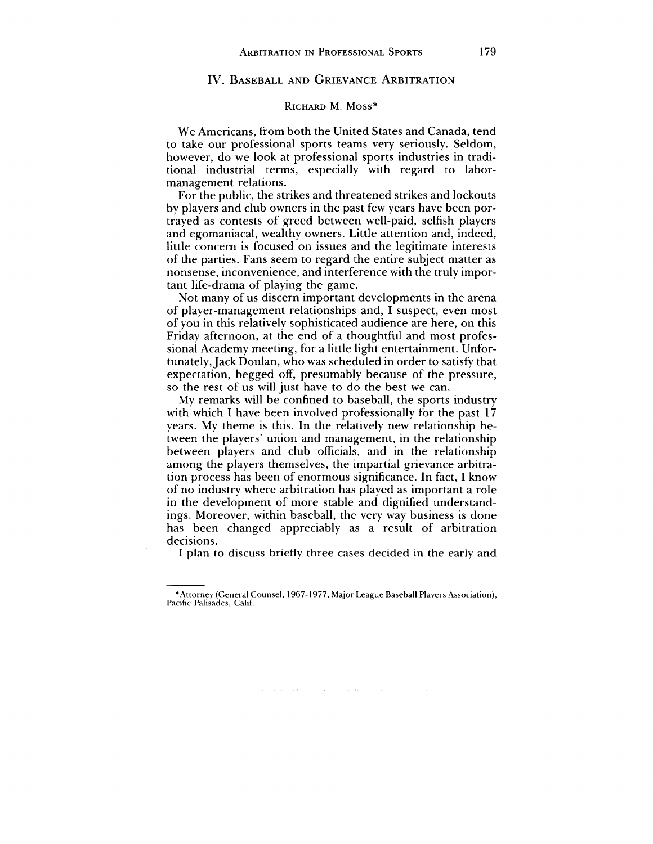## IV. BASEBALL AND GRIEVANCE ARBITRATION

## RICHARD M. MOSS\*

We Americans, from both the United States and Canada, tend to take our professional sports teams very seriously. Seldom, however, do we look at professional sports industries in traditional industrial terms, especially with regard to labormanagement relations.

For the public, the strikes and threatened strikes and lockouts by players and club owners in the past few years have been portrayed as contests of greed between well-paid, selfish players and egomaniacal, wealthy owners. Little attention and, indeed, little concern is focused on issues and the legitimate interests of the parties. Fans seem to regard the entire subject matter as nonsense, inconvenience, and interference with the truly important life-drama of playing the game.

Not many of us discern important developments in the arena of player-management relationships and, I suspect, even most of you in this relatively sophisticated audience are here, on this Friday afternoon, at the end of a thoughtful and most professional Academy meeting, for a little light entertainment. Unfortunately, Jack Donlan, who was scheduled in order to satisfy that expectation, begged off, presumably because of the pressure, so the rest of us will just have to do the best we can.

My remarks will be confined to baseball, the sports industry with which I have been involved professionally for the past 17 years. My theme is this. In the relatively new relationship between the players' union and management, in the relationship between players and club officials, and in the relationship among the players themselves, the impartial grievance arbitration process has been of enormous significance. In fact, I know of no industry where arbitration has played as important a role in the development of more stable and dignified understandings. Moreover, within baseball, the very way business is done has been changed appreciably as a result of arbitration decisions.

I plan to discuss briefly three cases decided in the early and

 $\sim 10^{11}$  and  $\sim 10^{11}$ 

**Service** 

and the contract of the state of the

<sup>•</sup>Attorney (General Counsel, 1967-1977, Major League Baseball Players Association), Pacific Palisades, Calif.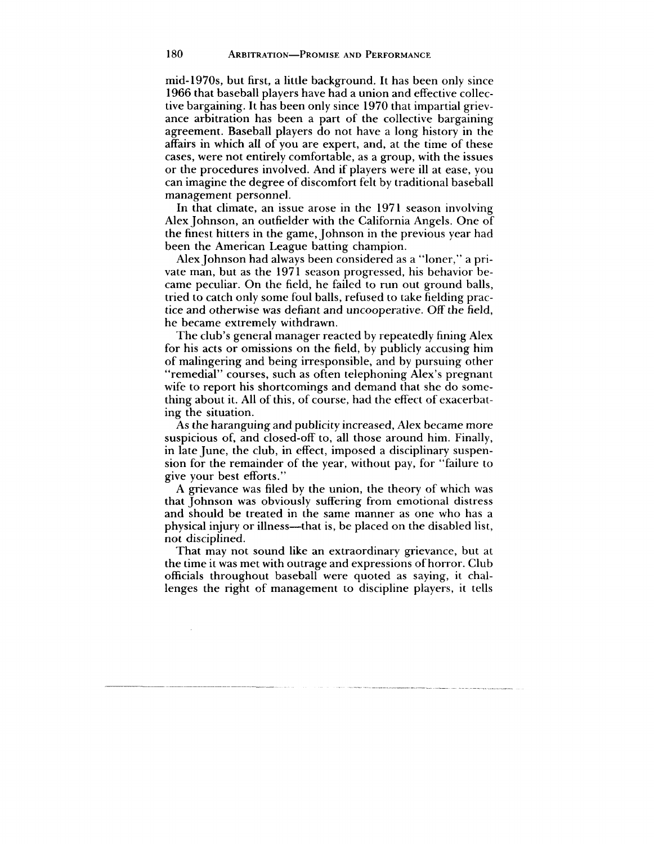mid-1970s, but first, a little background. It has been only since 1966 that baseball players have had a union and effective collective bargaining. It has been only since 1970 that impartial grievance arbitration has been a part of the collective bargaining agreement. Baseball players do not have a long history in the affairs in which all of you are expert, and, at the time of these cases, were not entirely comfortable, as a group, with the issues or the procedures involved. And if players were ill at ease, you can imagine the degree of discomfort felt by traditional baseball management personnel.

In that climate, an issue arose in the 1971 season involving Alex Johnson, an outfielder with the California Angels. One of the finest hitters in the game, Johnson in the previous year had been the American League batting champion.

Alex Johnson had always been considered as a "loner," a private man, but as the 1971 season progressed, his behavior became peculiar. On the field, he failed to run out ground balls, tried to catch only some foul balls, refused to take fielding practice and otherwise was defiant and uncooperative. Off the field, he became extremely withdrawn.

The club's general manager reacted by repeatedly fining Alex for his acts or omissions on the field, by publicly accusing him of malingering and being irresponsible, and by pursuing other "remedial" courses, such as often telephoning Alex's pregnant wife to report his shortcomings and demand that she do something about it. All of this, of course, had the effect of exacerbating the situation.

As the haranguing and publicity increased, Alex became more suspicious of, and closed-off to, all those around him. Finally, in late June, the club, in effect, imposed a disciplinary suspension for the remainder of the year, without pay, for "failure to give your best efforts."

A grievance was filed by the union, the theory of which was that Johnson was obviously suffering from emotional distress and should be treated in the same manner as one who has a physical injury or illness—that is, be placed on the disabled list, not disciplined.

That may not sound like an extraordinary grievance, but at the time it was met with outrage and expressions of horror. Club officials throughout baseball were quoted as saying, it challenges the right of management to discipline players, it tells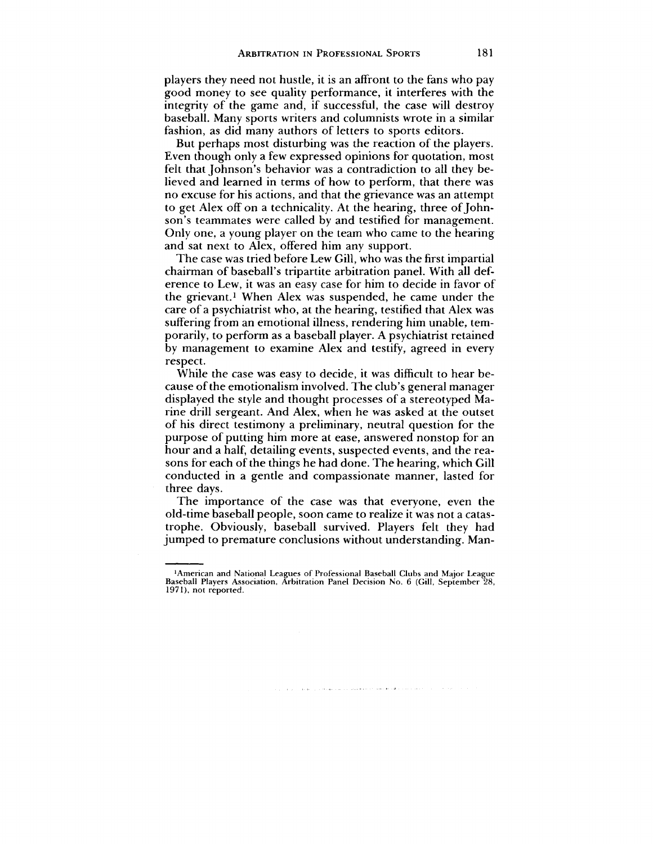players they need not hustle, it is an affront to the fans who pay good money to see quality performance, it interferes with the integrity of the game and, if successful, the case will destroy baseball. Many sports writers and columnists wrote in a similar fashion, as did many authors of letters to sports editors.

But perhaps most disturbing was the reaction of the players. Even though only a few expressed opinions for quotation, most felt that Johnson's behavior was a contradiction to all they believed and learned in terms of how to perform, that there was no excuse for his actions, and that the grievance was an attempt to get Alex off on a technicality. At the hearing, three of Johnson's teammates were called by and testified for management. Only one, a young player on the team who came to the hearing and sat next to Alex, offered him any support.

The case was tried before Lew Gill, who was the first impartial chairman of baseball's tripartite arbitration panel. With all deference to Lew, it was an easy case for him to decide in favor of the grievant.<sup>1</sup> When Alex was suspended, he came under the care of a psychiatrist who, at the hearing, testified that Alex was suffering from an emotional illness, rendering him unable, temporarily, to perform as a baseball player. A psychiatrist retained by management to examine Alex and testify, agreed in every respect.

While the case was easy to decide, it was difficult to hear because of the emotionalism involved. The club's general manager displayed the style and thought processes of a stereotyped Marine drill sergeant. And Alex, when he was asked at the outset of his direct testimony a preliminary, neutral question for the purpose of putting him more at ease, answered nonstop for an hour and a half, detailing events, suspected events, and the reasons for each of the things he had done. The hearing, which Gill conducted in a gentle and compassionate manner, lasted for three days.

The importance of the case was that everyone, even the old-time baseball people, soon came to realize it was not a catastrophe. Obviously, baseball survived. Players felt they had jumped to premature conclusions without understanding. Man-

and the first control of the control of the control of the control of the second control of the control of the

<sup>1</sup> American and National Leagues of Professional Baseball Clubs and Major League Baseball Players Association, Arbitration Panel Decision No. 6 (Gill, September 28, 1971), not reported.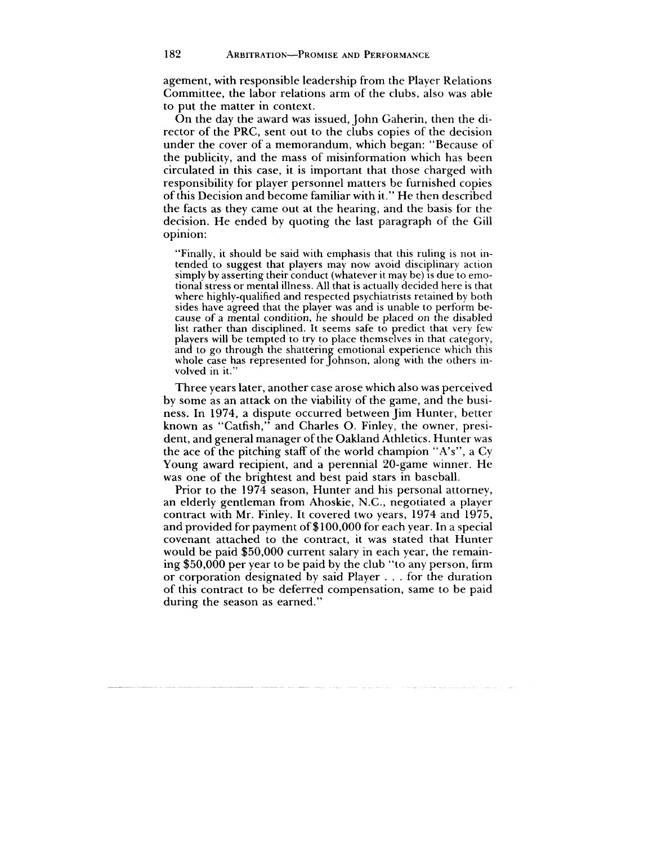agement, with responsible leadership from the Player Relations Committee, the labor relations arm of the clubs, also was able to put the matter in context.

On the day the award was issued, John Gaherin, then the director of the PRC, sent out to the clubs copies of the decision under the cover of a memorandum, which began: "Because of the publicity, and the mass of misinformation which has been circulated in this case, it is important that those charged with responsibility for player personnel matters be furnished copies of this Decision and become familiar with it." He then described the facts as they came out at the hearing, and the basis for the decision. He ended by quoting the last paragraph of the Gill opinion:

"Finally, it should be said with emphasis that this ruling is not intended to suggest that players may now avoid disciplinary action simply by asserting their conduct (whatever it may be) is due to emotional stress or mental illness. All that is actually decided here is that where highly-qualified and respected psychiatrists retained by both sides have agreed that the player was and is unable to perform because of a mental condition, he should be placed on the disabled list rather than disciplined. It seems safe to predict that very few players will be tempted to try to place themselves in that category, and to go through the shattering emotional experience which this whole case has represented for Johnson, along with the others involved in it.'

Three years later, another case arose which also was perceived by some as an attack on the viability of the game, and the business. In 1974, a dispute occurred between Jim Hunter, better known as "Catfish," and Charles O. Finley, the owner, president, and general manager of the Oakland Athletics. Hunter was the ace of the pitching staff of the world champion "A's", a Cy Young award recipient, and a perennial 20-game winner. He was one of the brightest and best paid stars in baseball.

Prior to the 1974 season, Hunter and his personal attorney, an elderly gentleman from Ahoskie, N.C., negotiated a player contract with Mr. Finley. It covered two years, 1974 and 1975, and provided for payment of \$100,000 for each year. In a special covenant attached to the contract, it was stated that Hunter would be paid \$50,000 current salary in each year, the remaining \$50,000 per year to be paid by the club "to any person, firm or corporation designated by said Player . . . for the duration of this contract to be deferred compensation, same to be paid during the season as earned."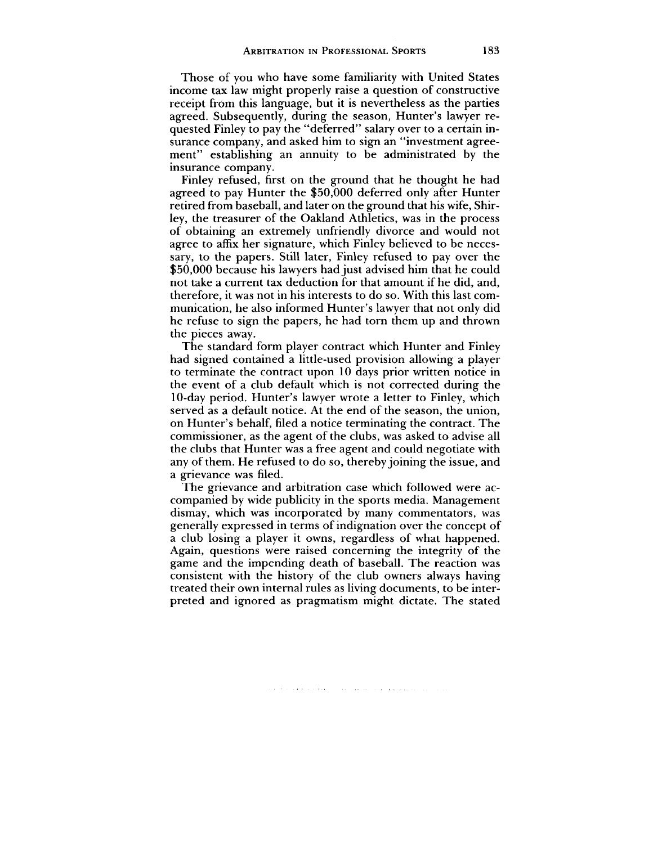Those of you who have some familiarity with United States income tax law might properly raise a question of constructive receipt from this language, but it is nevertheless as the parties agreed. Subsequently, during the season, Hunter's lawyer requested Finley to pay the "deferred" salary over to a certain insurance company, and asked him to sign an "investment agreement" establishing an annuity to be administrated by the insurance company.

Finley refused, first on the ground that he thought he had agreed to pay Hunter the \$50,000 deferred only after Hunter retired from baseball, and later on the ground that his wife, Shirley, the treasurer of the Oakland Athletics, was in the process of obtaining an extremely unfriendly divorce and would not agree to affix her signature, which Finley believed to be necessary, to the papers. Still later, Finley refused to pay over the \$50,000 because his lawyers had just advised him that he could not take a current tax deduction for that amount if he did, and, therefore, it was not in his interests to do so. With this last communication, he also informed Hunter's lawyer that not only did he refuse to sign the papers, he had torn them up and thrown the pieces away.

The standard form player contract which Hunter and Finley had signed contained a little-used provision allowing a player to terminate the contract upon 10 days prior written notice in the event of a club default which is not corrected during the 10-day period. Hunter's lawyer wrote a letter to Finley, which served as a default notice. At the end of the season, the union, on Hunter's behalf, filed a notice terminating the contract. The commissioner, as the agent of the clubs, was asked to advise all the clubs that Hunter was a free agent and could negotiate with any of them. He refused to do so, thereby joining the issue, and a grievance was filed.

The grievance and arbitration case which followed were accompanied by wide publicity in the sports media. Management dismay, which was incorporated by many commentators, was generally expressed in terms of indignation over the concept of a club losing a player it owns, regardless of what happened. Again, questions were raised concerning the integrity of the game and the impending death of baseball. The reaction was consistent with the history of the club owners always having treated their own internal rules as living documents, to be interpreted and ignored as pragmatism might dictate. The stated

and a set of the set of the set of the set of the set of the set of the set of the set of the set of  $\alpha$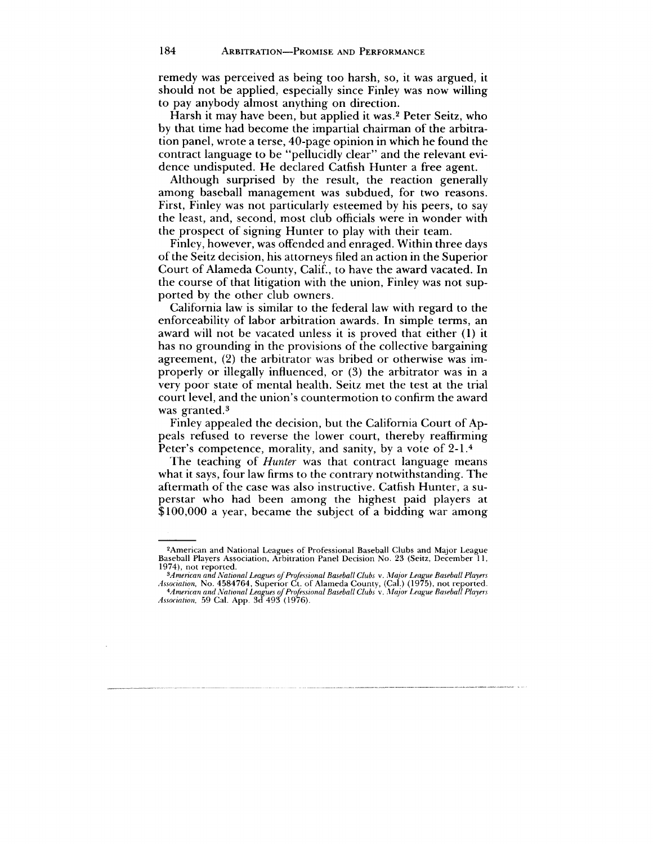remedy was perceived as being too harsh, so, it was argued, it should not be applied, especially since Finley was now willing to pay anybody almost anything on direction.

Harsh it may have been, but applied it was.<sup>2</sup> Peter Seitz, who by that time had become the impartial chairman of the arbitration panel, wrote a terse, 40-page opinion in which he found the contract language to be "pellucidly clear" and the relevant evidence undisputed. He declared Catfish Hunter a free agent.

Although surprised by the result, the reaction generally among baseball management was subdued, for two reasons. First, Finley was not particularly esteemed by his peers, to say the least, and, second, most club officials were in wonder with the prospect of signing Hunter to play with their team.

Finley, however, was offended and enraged. Within three days of the Seitz decision, his attorneys filed an action in the Superior Court of Alameda County, Calif., to have the award vacated. In the course of that litigation with the union, Finley was not supported by the other club owners.

California law is similar to the federal law with regard to the enforceability of labor arbitration awards. In simple terms, an award will not be vacated unless it is proved that either (1) it has no grounding in the provisions of the collective bargaining agreement, (2) the arbitrator was bribed or otherwise was improperly or illegally influenced, or (3) the arbitrator was in a very poor state of mental health. Seitz met the test at the trial court level, and the union's countermotion to confirm the award was granted.<sup>3</sup>

Finley appealed the decision, but the California Court of Appeals refused to reverse the lower court, thereby reaffirming Peter's competence, morality, and sanity, by a vote of 2-1.<sup>4</sup>

The teaching of *Hunter* was that contract language means what it says, four law firms to the contrary notwithstanding. The aftermath of the case was also instructive. Catfish Hunter, a superstar who had been among the highest paid players at \$100,000 a year, became the subject of a bidding war among

<sup>2</sup>American and National Leagues of Professional Baseball Clubs and Major League Baseball Players Association, Arbitration Panel Decision No. 23 (Seitz, December 11, 1974), not reported.

<sup>&</sup>lt;sup>3</sup> American and National Leagues of Professional Baseball Clubs v. Major League Baseball Players<br>Association, No. 4584764, Superior Ct. of Alameda County, (Cal.) (1975), not reported.<br>4 merican and National Leagues of Pro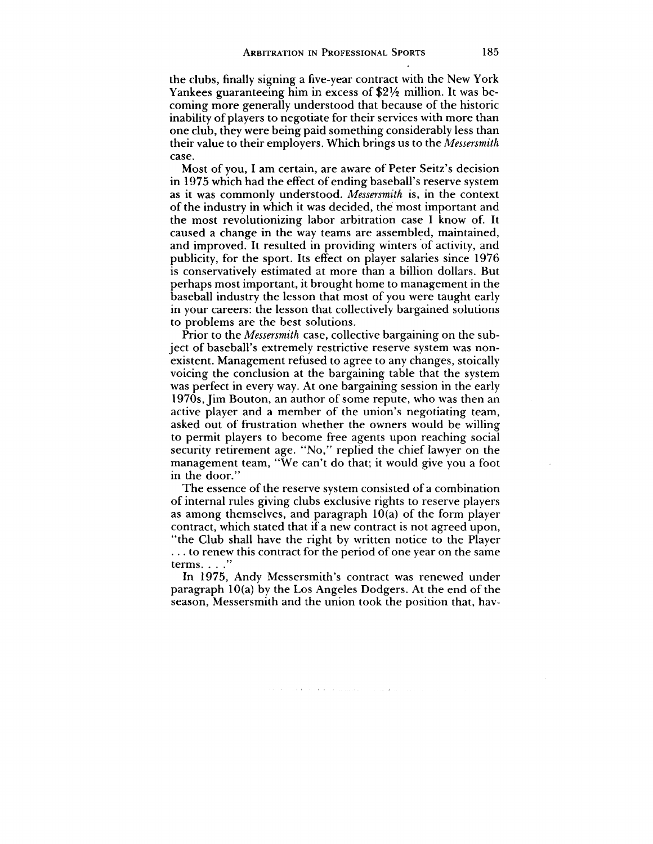the clubs, finally signing a five-year contract with the New York Yankees guaranteeing him in excess of \$2<sup>1</sup>/<sub>2</sub> million. It was becoming more generally understood that because of the historic inability of players to negotiate for their services with more than one club, they were being paid something considerably less than their value to their employers. Which brings us to the *Messersmith* case.

Most of you, I am certain, are aware of Peter Seitz's decision in 1975 which had the effect of ending baseball's reserve system as it was commonly understood. *Messersmith* is, in the context of the industry in which it was decided, the most important and the most revolutionizing labor arbitration case I know of. It caused a change in the way teams are assembled, maintained, and improved. It resulted in providing winters of activity, and publicity, for the sport. Its effect on player salaries since 1976 is conservatively estimated at more than a billion dollars. But perhaps most important, it brought home to management in the baseball industry the lesson that most of you were taught early in your careers: the lesson that collectively bargained solutions to problems are the best solutions.

Prior to the *Messersmith* case, collective bargaining on the subject of baseball's extremely restrictive reserve system was nonexistent. Management refused to agree to any changes, stoically voicing the conclusion at the bargaining table that the system was perfect in every way. At one bargaining session in the early 1970s, Jim Bouton, an author of some repute, who was then an active player and a member of the union's negotiating team, asked out of frustration whether the owners would be willing to permit players to become free agents upon reaching social security retirement age. "No," replied the chief lawyer on the management team, "We can't do that; it would give you a foot in the door."

The essence of the reserve system consisted of a combination of internal rules giving clubs exclusive rights to reserve players as among themselves, and paragraph 10(a) of the form player contract, which stated that if a new contract is not agreed upon, "the Club shall have the right by written notice to the Player ... to renew this contract for the period of one year on the same terms. . . ."

In 1975, Andy Messersmith's contract was renewed under paragraph 10(a) by the Los Angeles Dodgers. At the end of the season, Messersmith and the union took the position that, hav-

the first project of the contract construction of the contract of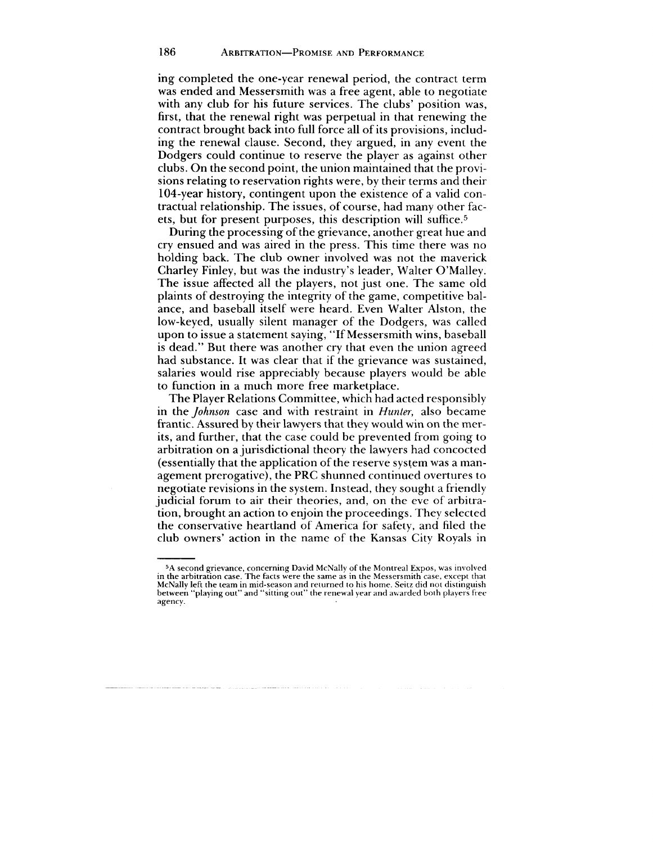ing completed the one-year renewal period, the contract term was ended and Messersmith was a free agent, able to negotiate with any club for his future services. The clubs' position was, first, that the renewal right was perpetual in that renewing the contract brought back into full force all of its provisions, including the renewal clause. Second, they argued, in any event the Dodgers could continue to reserve the player as against other clubs. On the second point, the union maintained that the provisions relating to reservation rights were, by their terms and their 104-year history, contingent upon the existence of a valid contractual relationship. The issues, of course, had many other facets, but for present purposes, this description will suffice.<sup>5</sup>

During the processing of the grievance, another great hue and cry ensued and was aired in the press. This time there was no holding back. The club owner involved was not the maverick Charley Finley, but was the industry's leader, Walter O'Malley. The issue affected all the players, not just one. The same old plaints of destroying the integrity of the game, competitive balance, and baseball itself were heard. Even Walter Alston, the low-keyed, usually silent manager of the Dodgers, was called upon to issue a statement saying, "If Messersmith wins, baseball is dead." But there was another cry that even the union agreed had substance. It was clear that if the grievance was sustained, salaries would rise appreciably because players would be able to function in a much more free marketplace.

The Player Relations Committee, which had acted responsibly in the *Johnson* case and with restraint in *Hunter,* also became frantic. Assured by their lawyers that they would win on the merits, and further, that the case could be prevented from going to arbitration on a jurisdictional theory the lawyers had concocted (essentially that the application of the reserve system was a management prerogative), the PRC shunned continued overtures to negotiate revisions in the system. Instead, they sought a friendly judicial forum to air their theories, and, on the eve of arbitration, brought an action to enjoin the proceedings. They selected the conservative heartland of America for safety, and filed the club owners' action in the name of the Kansas City Royals in

<sup>5</sup>A second grievance, concerning David McNally of the Montreal Expos, was involved in the arbitration case. The facts were the same as in the Messersmith case, except that McNally left the team in mid-season and returned to his home. Seitz did not distinguish between "playing out" and "sitting out" the renewal year and awarded both players free agency.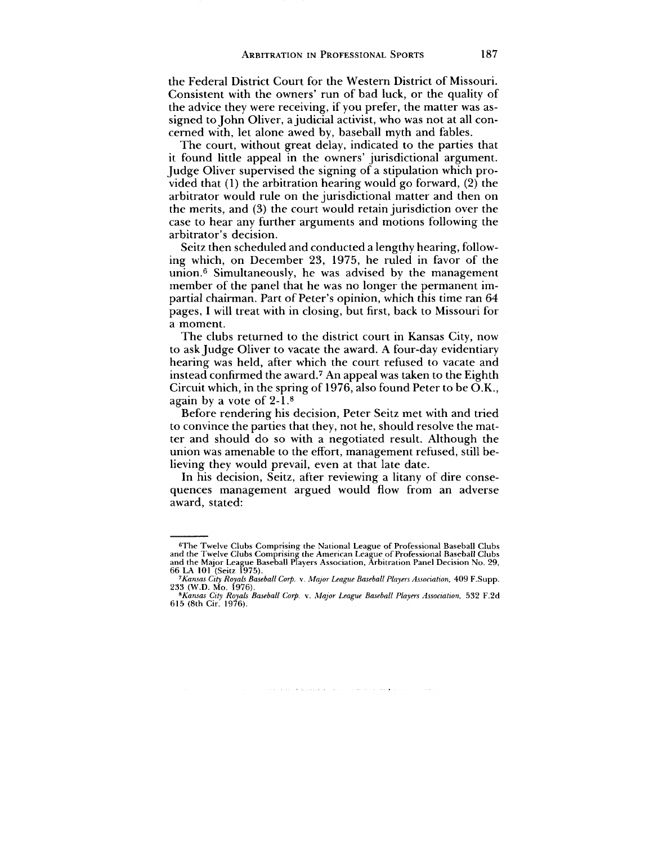the Federal District Court for the Western District of Missouri. Consistent with the owners' run of bad luck, or the quality of the advice they were receiving, if you prefer, the matter was assigned to John Oliver, a judicial activist, who was not at all concerned with, let alone awed by, baseball myth and fables.

The court, without great delay, indicated to the parties that it found little appeal in the owners' jurisdictional argument. Judge Oliver supervised the signing of a stipulation which provided that (1) the arbitration hearing would go forward, (2) the arbitrator would rule on the jurisdictional matter and then on the merits, and (3) the court would retain jurisdiction over the case to hear any further arguments and motions following the arbitrator's decision.

Seitz then scheduled and conducted a lengthy hearing, following which, on December 23, 1975, he ruled in favor of the union.<sup>6</sup> Simultaneously, he was advised by the management member of the panel that he was no longer the permanent impartial chairman. Part of Peter's opinion, which this time ran 64 pages, I will treat with in closing, but first, back to Missouri for a moment.

The clubs returned to the district court in Kansas City, now to ask Judge Oliver to vacate the award. A four-day evidentiary hearing was held, after which the court refused to vacate and instead confirmed the award.<sup>7</sup> An appeal was taken to the Eighth Circuit which, in the spring of 1976, also found Peter to be  $\overrightarrow{O}$ .K., again by a vote of 2-1.<sup>8</sup>

Before rendering his decision, Peter Seitz met with and tried to convince the parties that they, not he, should resolve the matter and should do so with a negotiated result. Although the union was amenable to the effort, management refused, still believing they would prevail, even at that late date.

In his decision, Seitz, after reviewing a litany of dire consequences management argued would flow from an adverse award, stated:

.<br>Se a contra el contra provisión a la contra de la contra de la contra de la contra de la contra de la contra d

<sup>6</sup>The Twelve Clubs Comprising the National League of Professional Baseball Clubs and the Twelve Clubs Comprising the American League of Professional Baseball Clubs and the Major League Baseball Players Association, Arbitration Panel Decision No. 29, 66 LA 101 (Seitz 1975).

*<sup>&#</sup>x27;'Kansas City Royals Baseball Corp.* v. *Major League Baseball Players Association,* 409 F.Supp. 233 (W.D. Mo. 1976).

*<sup>^</sup>Kansas City Royals Baseball Corp.* v. *Major League Baseball Players Association,* 532 F.2d 615 (8th Cir. 1976).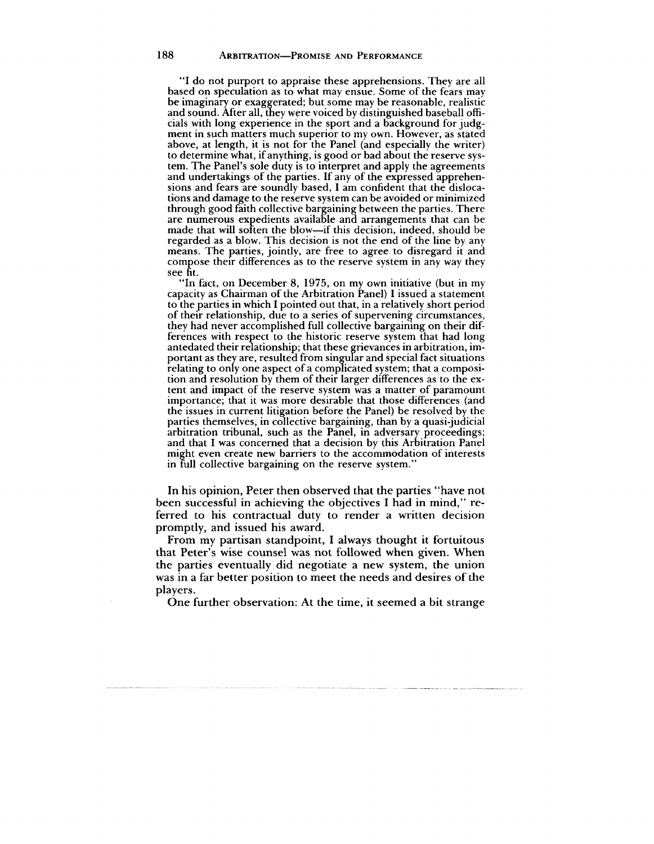"I do not purport to appraise these apprehensions. They are all based on speculation as to what may ensue. Some of the fears may be imaginary or exaggerated; but some may be reasonable, realistic and sound. After all, they were voiced by distinguished baseball officials with long experience in the sport and a background for judgment in such matters much superior to my own. However, as stated above, at length, it is not for the Panel (and especially the writer) to determine what, if anything, is good or bad about the reserve system. The Panel's sole duty is to interpret and apply the agreements and undertakings of the parties. If any of the expressed apprehensions and fears are soundly based, I am confident that the dislocations and damage to the reserve system can be avoided or minimized through good faith collective bargaining between the parties. There are numerous expedients available and arrangements that can be made that will soften the blow—if this decision, indeed, should be regarded as a blow. This decision is not the end of the line by any means. The parties, jointly, are free to agree to disregard it and compose their differences as to the reserve system in any way they see fit.

"In fact, on December 8, 1975, on my own initiative (but in my capacity as Chairman of the Arbitration Panel) I issued a statement to the parties in which I pointed out that, in a relatively short period of their relationship, due to a series of supervening circumstances, they had never accomplished full collective bargaining on their differences with respect to the historic reserve system that had long antedated their relationship; that these grievances in arbitration, important as they are, resulted from singular and special fact situations relating to only one aspect of a complicated system; that a composition and resolution by them of their larger differences as to the extent and impact of the reserve system was a matter of paramount importance; that it was more desirable that those differences (and the issues in current litigation before the Panel) be resolved by the parties themselves, in collective bargaining, than by a quasi-judicial arbitration tribunal, such as the Panel, in adversary proceedings; and that I was concerned that a decision by this Arbitration Panel might even create new barriers to the accommodation of interests in full collective bargaining on the reserve system."

In his opinion, Peter then observed that the parties "have not been successful in achieving the objectives I had in mind," referred to his contractual duty to render a written decision promptly, and issued his award.

From my partisan standpoint, I always thought it fortuitous that Peter's wise counsel was not followed when given. When the parties eventually did negotiate a new system, the union was in a far better position to meet the needs and desires of the players.

One further observation: At the time, it seemed a bit strange